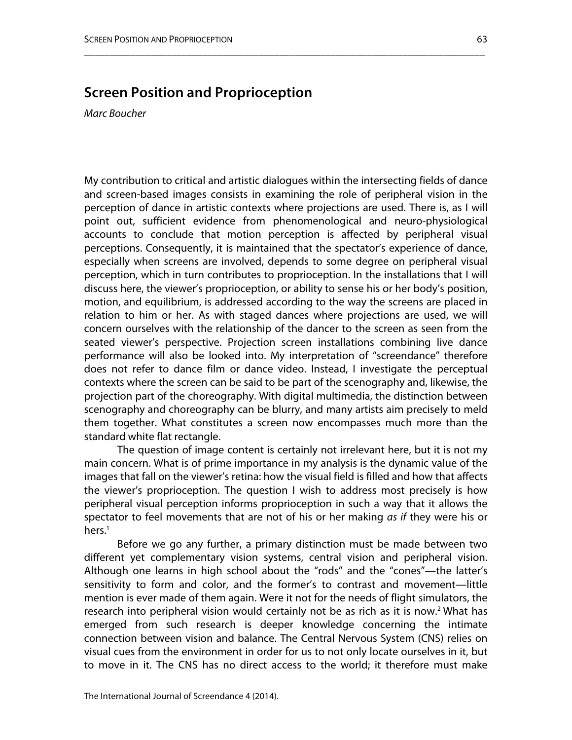## **Screen Position and Proprioception**

*Marc Boucher*

My contribution to critical and artistic dialogues within the intersecting fields of dance and screen-based images consists in examining the role of peripheral vision in the perception of dance in artistic contexts where projections are used. There is, as I will point out, sufficient evidence from phenomenological and neuro-physiological accounts to conclude that motion perception is affected by peripheral visual perceptions. Consequently, it is maintained that the spectator's experience of dance, especially when screens are involved, depends to some degree on peripheral visual perception, which in turn contributes to proprioception. In the installations that I will discuss here, the viewer's proprioception, or ability to sense his or her body's position, motion, and equilibrium, is addressed according to the way the screens are placed in relation to him or her. As with staged dances where projections are used, we will concern ourselves with the relationship of the dancer to the screen as seen from the seated viewer's perspective. Projection screen installations combining live dance performance will also be looked into. My interpretation of "screendance" therefore does not refer to dance film or dance video. Instead, I investigate the perceptual contexts where the screen can be said to be part of the scenography and, likewise, the projection part of the choreography. With digital multimedia, the distinction between scenography and choreography can be blurry, and many artists aim precisely to meld them together. What constitutes a screen now encompasses much more than the standard white flat rectangle.

\_\_\_\_\_\_\_\_\_\_\_\_\_\_\_\_\_\_\_\_\_\_\_\_\_\_\_\_\_\_\_\_\_\_\_\_\_\_\_\_\_\_\_\_\_\_\_\_\_\_\_\_\_\_\_\_\_\_\_\_\_\_\_\_\_\_\_\_\_\_\_\_\_\_\_\_\_\_

The question of image content is certainly not irrelevant here, but it is not my main concern. What is of prime importance in my analysis is the dynamic value of the images that fall on the viewer's retina: how the visual field is filled and how that affects the viewer's proprioception. The question I wish to address most precisely is how peripheral visual perception informs proprioception in such a way that it allows the spectator to feel movements that are not of his or her making *as if* they were his or hers.<sup>1</sup>

Before we go any further, a primary distinction must be made between two different yet complementary vision systems, central vision and peripheral vision. Although one learns in high school about the "rods" and the "cones"—the latter's sensitivity to form and color, and the former's to contrast and movement—little mention is ever made of them again. Were it not for the needs of flight simulators, the research into peripheral vision would certainly not be as rich as it is now.<sup>2</sup> What has emerged from such research is deeper knowledge concerning the intimate connection between vision and balance. The Central Nervous System (CNS) relies on visual cues from the environment in order for us to not only locate ourselves in it, but to move in it. The CNS has no direct access to the world; it therefore must make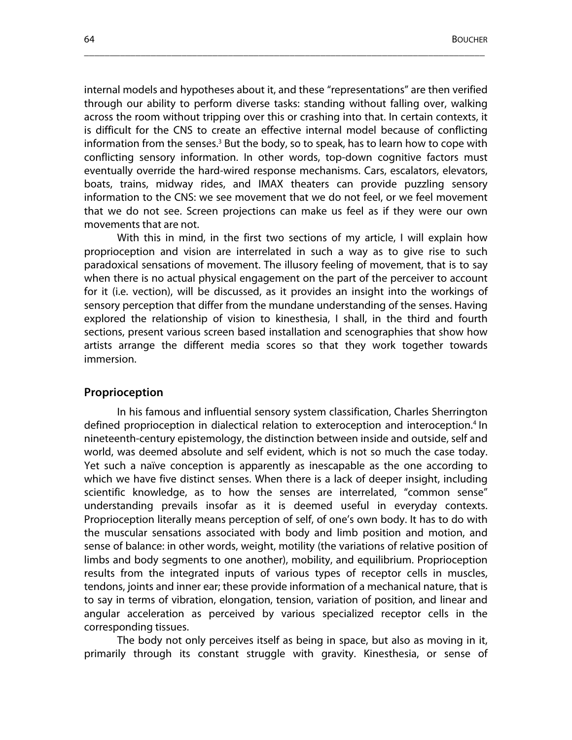internal models and hypotheses about it, and these "representations" are then verified through our ability to perform diverse tasks: standing without falling over, walking across the room without tripping over this or crashing into that. In certain contexts, it is difficult for the CNS to create an effective internal model because of conflicting information from the senses.<sup>3</sup> But the body, so to speak, has to learn how to cope with conflicting sensory information. In other words, top-down cognitive factors must eventually override the hard-wired response mechanisms. Cars, escalators, elevators, boats, trains, midway rides, and IMAX theaters can provide puzzling sensory information to the CNS: we see movement that we do not feel, or we feel movement that we do not see. Screen projections can make us feel as if they were our own movements that are not.

\_\_\_\_\_\_\_\_\_\_\_\_\_\_\_\_\_\_\_\_\_\_\_\_\_\_\_\_\_\_\_\_\_\_\_\_\_\_\_\_\_\_\_\_\_\_\_\_\_\_\_\_\_\_\_\_\_\_\_\_\_\_\_\_\_\_\_\_\_\_\_\_\_\_\_\_\_\_

With this in mind, in the first two sections of my article, I will explain how proprioception and vision are interrelated in such a way as to give rise to such paradoxical sensations of movement. The illusory feeling of movement, that is to say when there is no actual physical engagement on the part of the perceiver to account for it (i.e. vection), will be discussed, as it provides an insight into the workings of sensory perception that differ from the mundane understanding of the senses. Having explored the relationship of vision to kinesthesia, I shall, in the third and fourth sections, present various screen based installation and scenographies that show how artists arrange the different media scores so that they work together towards immersion.

#### **Proprioception**

In his famous and influential sensory system classification, Charles Sherrington defined proprioception in dialectical relation to exteroception and interoception.<sup>4</sup> In nineteenth-century epistemology, the distinction between inside and outside, self and world, was deemed absolute and self evident, which is not so much the case today. Yet such a naïve conception is apparently as inescapable as the one according to which we have five distinct senses. When there is a lack of deeper insight, including scientific knowledge, as to how the senses are interrelated, "common sense" understanding prevails insofar as it is deemed useful in everyday contexts. Proprioception literally means perception of self, of one's own body. It has to do with the muscular sensations associated with body and limb position and motion, and sense of balance: in other words, weight, motility (the variations of relative position of limbs and body segments to one another), mobility, and equilibrium. Proprioception results from the integrated inputs of various types of receptor cells in muscles, tendons, joints and inner ear; these provide information of a mechanical nature, that is to say in terms of vibration, elongation, tension, variation of position, and linear and angular acceleration as perceived by various specialized receptor cells in the corresponding tissues.

The body not only perceives itself as being in space, but also as moving in it, primarily through its constant struggle with gravity. Kinesthesia, or sense of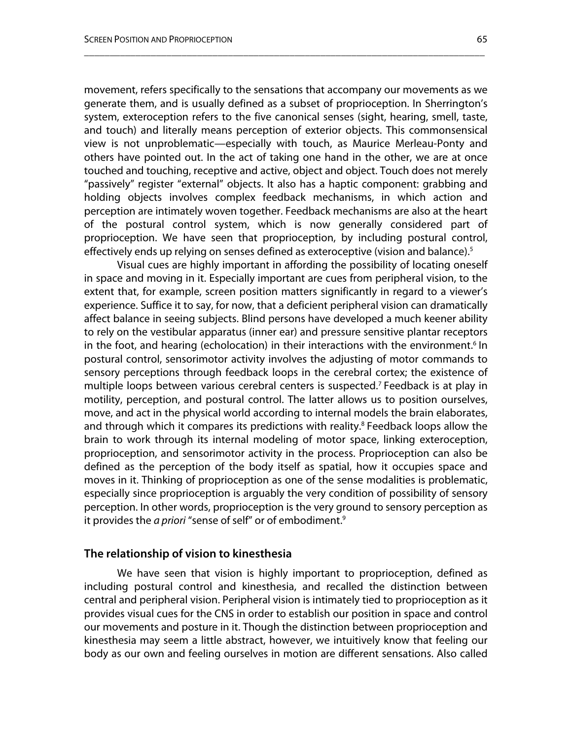movement, refers specifically to the sensations that accompany our movements as we generate them, and is usually defined as a subset of proprioception. In Sherrington's system, exteroception refers to the five canonical senses (sight, hearing, smell, taste, and touch) and literally means perception of exterior objects. This commonsensical view is not unproblematic—especially with touch, as Maurice Merleau-Ponty and others have pointed out. In the act of taking one hand in the other, we are at once touched and touching, receptive and active, object and object. Touch does not merely "passively" register "external" objects. It also has a haptic component: grabbing and holding objects involves complex feedback mechanisms, in which action and perception are intimately woven together. Feedback mechanisms are also at the heart of the postural control system, which is now generally considered part of proprioception. We have seen that proprioception, by including postural control, effectively ends up relying on senses defined as exteroceptive (vision and balance).<sup>5</sup>

\_\_\_\_\_\_\_\_\_\_\_\_\_\_\_\_\_\_\_\_\_\_\_\_\_\_\_\_\_\_\_\_\_\_\_\_\_\_\_\_\_\_\_\_\_\_\_\_\_\_\_\_\_\_\_\_\_\_\_\_\_\_\_\_\_\_\_\_\_\_\_\_\_\_\_\_\_\_

Visual cues are highly important in affording the possibility of locating oneself in space and moving in it. Especially important are cues from peripheral vision, to the extent that, for example, screen position matters significantly in regard to a viewer's experience. Suffice it to say, for now, that a deficient peripheral vision can dramatically affect balance in seeing subjects. Blind persons have developed a much keener ability to rely on the vestibular apparatus (inner ear) and pressure sensitive plantar receptors in the foot, and hearing (echolocation) in their interactions with the environment. <sup>6</sup> In postural control, sensorimotor activity involves the adjusting of motor commands to sensory perceptions through feedback loops in the cerebral cortex; the existence of multiple loops between various cerebral centers is suspected. <sup>7</sup> Feedback is at play in motility, perception, and postural control. The latter allows us to position ourselves, move, and act in the physical world according to internal models the brain elaborates, and through which it compares its predictions with reality. <sup>8</sup> Feedback loops allow the brain to work through its internal modeling of motor space, linking exteroception, proprioception, and sensorimotor activity in the process. Proprioception can also be defined as the perception of the body itself as spatial, how it occupies space and moves in it. Thinking of proprioception as one of the sense modalities is problematic, especially since proprioception is arguably the very condition of possibility of sensory perception. In other words, proprioception is the very ground to sensory perception as it provides the *a priori* "sense of self" or of embodiment. 9

#### **The relationship of vision to kinesthesia**

We have seen that vision is highly important to proprioception, defined as including postural control and kinesthesia, and recalled the distinction between central and peripheral vision. Peripheral vision is intimately tied to proprioception as it provides visual cues for the CNS in order to establish our position in space and control our movements and posture in it. Though the distinction between proprioception and kinesthesia may seem a little abstract, however, we intuitively know that feeling our body as our own and feeling ourselves in motion are different sensations. Also called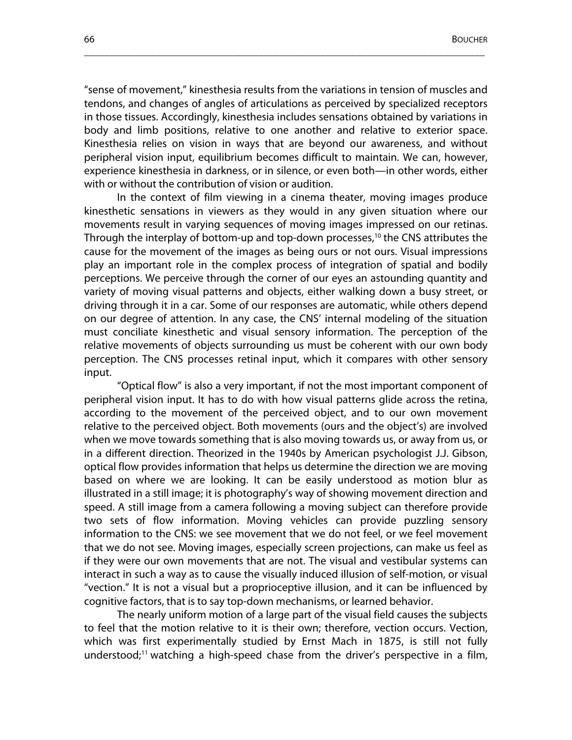"sense of movement," kinesthesia results from the variations in tension of muscles and tendons, and changes of angles of articulations as perceived by specialized receptors in those tissues. Accordingly, kinesthesia includes sensations obtained by variations in body and limb positions, relative to one another and relative to exterior space. Kinesthesia relies on vision in ways that are beyond our awareness, and without peripheral vision input, equilibrium becomes difficult to maintain. We can, however, experience kinesthesia in darkness, or in silence, or even both—in other words, either with or without the contribution of vision or audition.

\_\_\_\_\_\_\_\_\_\_\_\_\_\_\_\_\_\_\_\_\_\_\_\_\_\_\_\_\_\_\_\_\_\_\_\_\_\_\_\_\_\_\_\_\_\_\_\_\_\_\_\_\_\_\_\_\_\_\_\_\_\_\_\_\_\_\_\_\_\_\_\_\_\_\_\_\_\_

In the context of film viewing in a cinema theater, moving images produce kinesthetic sensations in viewers as they would in any given situation where our movements result in varying sequences of moving images impressed on our retinas. Through the interplay of bottom-up and top-down processes, 10 the CNS attributes the cause for the movement of the images as being ours or not ours. Visual impressions play an important role in the complex process of integration of spatial and bodily perceptions. We perceive through the corner of our eyes an astounding quantity and variety of moving visual patterns and objects, either walking down a busy street, or driving through it in a car. Some of our responses are automatic, while others depend on our degree of attention. In any case, the CNS' internal modeling of the situation must conciliate kinesthetic and visual sensory information. The perception of the relative movements of objects surrounding us must be coherent with our own body perception. The CNS processes retinal input, which it compares with other sensory input.

"Optical flow" is also a very important, if not the most important component of peripheral vision input. It has to do with how visual patterns glide across the retina, according to the movement of the perceived object, and to our own movement relative to the perceived object. Both movements (ours and the object's) are involved when we move towards something that is also moving towards us, or away from us, or in a different direction. Theorized in the 1940s by American psychologist J.J. Gibson, optical flow provides information that helps us determine the direction we are moving based on where we are looking. It can be easily understood as motion blur as illustrated in a still image; it is photography's way of showing movement direction and speed. A still image from a camera following a moving subject can therefore provide two sets of flow information. Moving vehicles can provide puzzling sensory information to the CNS: we see movement that we do not feel, or we feel movement that we do not see. Moving images, especially screen projections, can make us feel as if they were our own movements that are not. The visual and vestibular systems can interact in such a way as to cause the visually induced illusion of self-motion, or visual "vection." It is not a visual but a proprioceptive illusion, and it can be influenced by cognitive factors, that is to say top-down mechanisms, or learned behavior.

The nearly uniform motion of a large part of the visual field causes the subjects to feel that the motion relative to it is their own; therefore, vection occurs. Vection, which was first experimentally studied by Ernst Mach in 1875, is still not fully understood; 11 watching a high-speed chase from the driver's perspective in a film,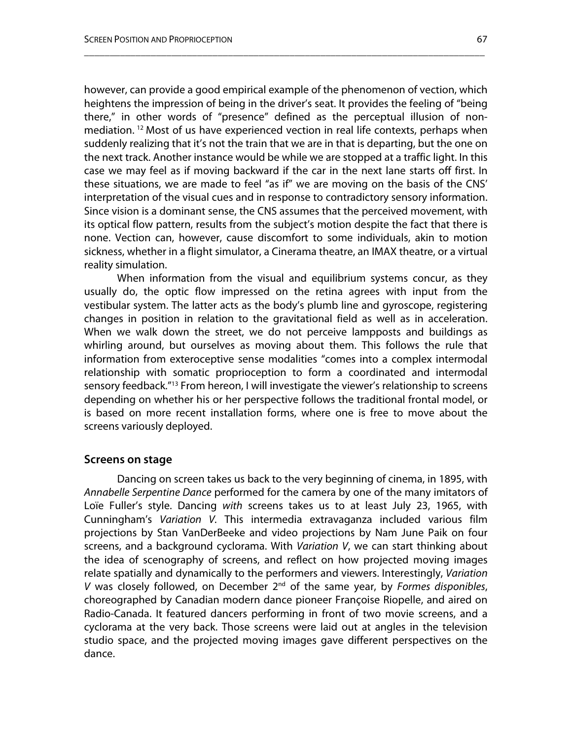however, can provide a good empirical example of the phenomenon of vection, which heightens the impression of being in the driver's seat. It provides the feeling of "being there," in other words of "presence" defined as the perceptual illusion of nonmediation. <sup>12</sup> Most of us have experienced vection in real life contexts, perhaps when suddenly realizing that it's not the train that we are in that is departing, but the one on the next track. Another instance would be while we are stopped at a traffic light. In this case we may feel as if moving backward if the car in the next lane starts off first. In these situations, we are made to feel "as if" we are moving on the basis of the CNS' interpretation of the visual cues and in response to contradictory sensory information. Since vision is a dominant sense, the CNS assumes that the perceived movement, with its optical flow pattern, results from the subject's motion despite the fact that there is none. Vection can, however, cause discomfort to some individuals, akin to motion sickness, whether in a flight simulator, a Cinerama theatre, an IMAX theatre, or a virtual reality simulation.

\_\_\_\_\_\_\_\_\_\_\_\_\_\_\_\_\_\_\_\_\_\_\_\_\_\_\_\_\_\_\_\_\_\_\_\_\_\_\_\_\_\_\_\_\_\_\_\_\_\_\_\_\_\_\_\_\_\_\_\_\_\_\_\_\_\_\_\_\_\_\_\_\_\_\_\_\_\_

When information from the visual and equilibrium systems concur, as they usually do, the optic flow impressed on the retina agrees with input from the vestibular system. The latter acts as the body's plumb line and gyroscope, registering changes in position in relation to the gravitational field as well as in acceleration. When we walk down the street, we do not perceive lampposts and buildings as whirling around, but ourselves as moving about them. This follows the rule that information from exteroceptive sense modalities "comes into a complex intermodal relationship with somatic proprioception to form a coordinated and intermodal sensory feedback."13 From hereon, I will investigate the viewer's relationship to screens depending on whether his or her perspective follows the traditional frontal model, or is based on more recent installation forms, where one is free to move about the screens variously deployed.

#### **Screens on stage**

Dancing on screen takes us back to the very beginning of cinema, in 1895, with *Annabelle Serpentine Dance* performed for the camera by one of the many imitators of Loïe Fuller's style. Dancing *with* screens takes us to at least July 23, 1965, with Cunningham's *Variation V.* This intermedia extravaganza included various film projections by Stan VanDerBeeke and video projections by Nam June Paik on four screens, and a background cyclorama. With *Variation V*, we can start thinking about the idea of scenography of screens, and reflect on how projected moving images relate spatially and dynamically to the performers and viewers. Interestingly, *Variation V* was closely followed, on December 2nd of the same year, by *Formes disponibles*, choreographed by Canadian modern dance pioneer Françoise Riopelle, and aired on Radio-Canada. It featured dancers performing in front of two movie screens, and a cyclorama at the very back. Those screens were laid out at angles in the television studio space, and the projected moving images gave different perspectives on the dance.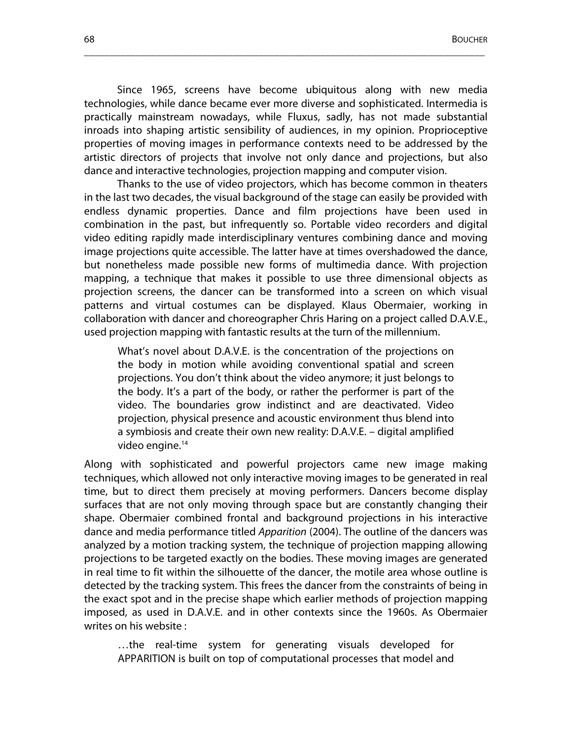Since 1965, screens have become ubiquitous along with new media technologies, while dance became ever more diverse and sophisticated. Intermedia is practically mainstream nowadays, while Fluxus, sadly, has not made substantial inroads into shaping artistic sensibility of audiences, in my opinion. Proprioceptive properties of moving images in performance contexts need to be addressed by the artistic directors of projects that involve not only dance and projections, but also dance and interactive technologies, projection mapping and computer vision.

\_\_\_\_\_\_\_\_\_\_\_\_\_\_\_\_\_\_\_\_\_\_\_\_\_\_\_\_\_\_\_\_\_\_\_\_\_\_\_\_\_\_\_\_\_\_\_\_\_\_\_\_\_\_\_\_\_\_\_\_\_\_\_\_\_\_\_\_\_\_\_\_\_\_\_\_\_\_

Thanks to the use of video projectors, which has become common in theaters in the last two decades, the visual background of the stage can easily be provided with endless dynamic properties. Dance and film projections have been used in combination in the past, but infrequently so. Portable video recorders and digital video editing rapidly made interdisciplinary ventures combining dance and moving image projections quite accessible. The latter have at times overshadowed the dance, but nonetheless made possible new forms of multimedia dance. With projection mapping, a technique that makes it possible to use three dimensional objects as projection screens, the dancer can be transformed into a screen on which visual patterns and virtual costumes can be displayed. Klaus Obermaier, working in collaboration with dancer and choreographer Chris Haring on a project called D.A.V.E., used projection mapping with fantastic results at the turn of the millennium.

What's novel about D.A.V.E. is the concentration of the projections on the body in motion while avoiding conventional spatial and screen projections. You don't think about the video anymore; it just belongs to the body. It's a part of the body, or rather the performer is part of the video. The boundaries grow indistinct and are deactivated. Video projection, physical presence and acoustic environment thus blend into a symbiosis and create their own new reality: D.A.V.E. – digital amplified video engine. 14

Along with sophisticated and powerful projectors came new image making techniques, which allowed not only interactive moving images to be generated in real time, but to direct them precisely at moving performers. Dancers become display surfaces that are not only moving through space but are constantly changing their shape. Obermaier combined frontal and background projections in his interactive dance and media performance titled *Apparition* (2004). The outline of the dancers was analyzed by a motion tracking system, the technique of projection mapping allowing projections to be targeted exactly on the bodies. These moving images are generated in real time to fit within the silhouette of the dancer, the motile area whose outline is detected by the tracking system. This frees the dancer from the constraints of being in the exact spot and in the precise shape which earlier methods of projection mapping imposed, as used in D.A.V.E. and in other contexts since the 1960s. As Obermaier writes on his website :

…the real-time system for generating visuals developed for APPARITION is built on top of computational processes that model and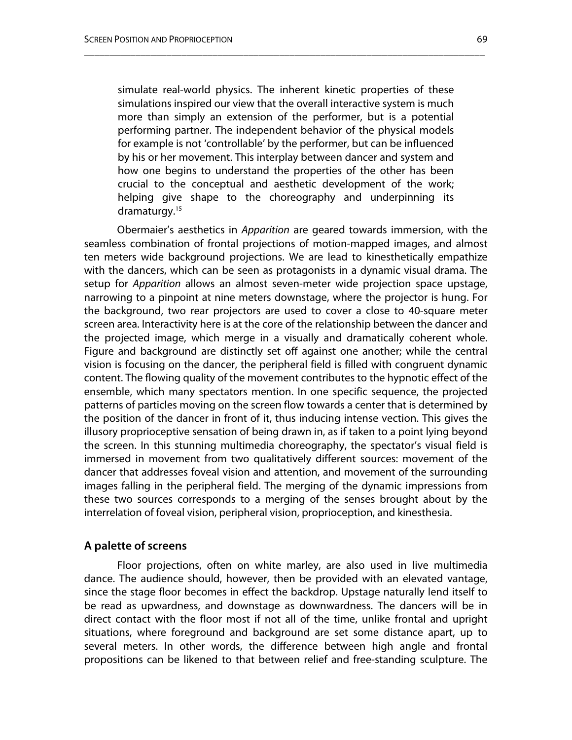simulate real-world physics. The inherent kinetic properties of these simulations inspired our view that the overall interactive system is much more than simply an extension of the performer, but is a potential performing partner. The independent behavior of the physical models for example is not 'controllable' by the performer, but can be influenced by his or her movement. This interplay between dancer and system and how one begins to understand the properties of the other has been crucial to the conceptual and aesthetic development of the work; helping give shape to the choreography and underpinning its dramaturgy. 15

\_\_\_\_\_\_\_\_\_\_\_\_\_\_\_\_\_\_\_\_\_\_\_\_\_\_\_\_\_\_\_\_\_\_\_\_\_\_\_\_\_\_\_\_\_\_\_\_\_\_\_\_\_\_\_\_\_\_\_\_\_\_\_\_\_\_\_\_\_\_\_\_\_\_\_\_\_\_

Obermaier's aesthetics in *Apparition* are geared towards immersion, with the seamless combination of frontal projections of motion-mapped images, and almost ten meters wide background projections. We are lead to kinesthetically empathize with the dancers, which can be seen as protagonists in a dynamic visual drama. The setup for *Apparition* allows an almost seven-meter wide projection space upstage, narrowing to a pinpoint at nine meters downstage, where the projector is hung. For the background, two rear projectors are used to cover a close to 40-square meter screen area. Interactivity here is at the core of the relationship between the dancer and the projected image, which merge in a visually and dramatically coherent whole. Figure and background are distinctly set off against one another; while the central vision is focusing on the dancer, the peripheral field is filled with congruent dynamic content. The flowing quality of the movement contributes to the hypnotic effect of the ensemble, which many spectators mention. In one specific sequence, the projected patterns of particles moving on the screen flow towards a center that is determined by the position of the dancer in front of it, thus inducing intense vection. This gives the illusory proprioceptive sensation of being drawn in, as if taken to a point lying beyond the screen. In this stunning multimedia choreography, the spectator's visual field is immersed in movement from two qualitatively different sources: movement of the dancer that addresses foveal vision and attention, and movement of the surrounding images falling in the peripheral field. The merging of the dynamic impressions from these two sources corresponds to a merging of the senses brought about by the interrelation of foveal vision, peripheral vision, proprioception, and kinesthesia.

#### **A palette of screens**

Floor projections, often on white marley, are also used in live multimedia dance. The audience should, however, then be provided with an elevated vantage, since the stage floor becomes in effect the backdrop. Upstage naturally lend itself to be read as upwardness, and downstage as downwardness. The dancers will be in direct contact with the floor most if not all of the time, unlike frontal and upright situations, where foreground and background are set some distance apart, up to several meters. In other words, the difference between high angle and frontal propositions can be likened to that between relief and free-standing sculpture. The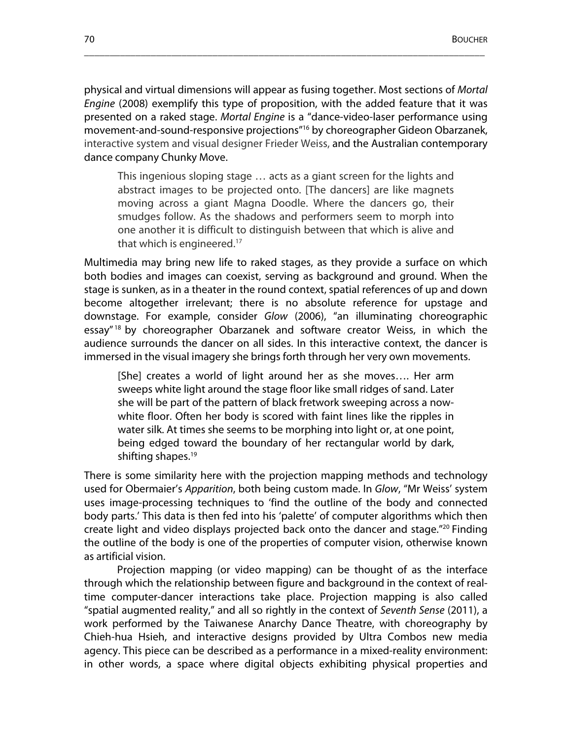physical and virtual dimensions will appear as fusing together. Most sections of *Mortal Engine* (2008) exemplify this type of proposition, with the added feature that it was presented on a raked stage. *Mortal Engine* is a "dance-video-laser performance using movement-and-sound-responsive projections"16 by choreographer Gideon Obarzanek, interactive system and visual designer Frieder Weiss, and the Australian contemporary dance company Chunky Move.

\_\_\_\_\_\_\_\_\_\_\_\_\_\_\_\_\_\_\_\_\_\_\_\_\_\_\_\_\_\_\_\_\_\_\_\_\_\_\_\_\_\_\_\_\_\_\_\_\_\_\_\_\_\_\_\_\_\_\_\_\_\_\_\_\_\_\_\_\_\_\_\_\_\_\_\_\_\_

This ingenious sloping stage … acts as a giant screen for the lights and abstract images to be projected onto. [The dancers] are like magnets moving across a giant Magna Doodle. Where the dancers go, their smudges follow. As the shadows and performers seem to morph into one another it is difficult to distinguish between that which is alive and that which is engineered. 17

Multimedia may bring new life to raked stages, as they provide a surface on which both bodies and images can coexist, serving as background and ground. When the stage is sunken, as in a theater in the round context, spatial references of up and down become altogether irrelevant; there is no absolute reference for upstage and downstage. For example, consider *Glow* (2006), "an illuminating choreographic essay" 18 by choreographer Obarzanek and software creator Weiss, in which the audience surrounds the dancer on all sides. In this interactive context, the dancer is immersed in the visual imagery she brings forth through her very own movements.

[She] creates a world of light around her as she moves…. Her arm sweeps white light around the stage floor like small ridges of sand. Later she will be part of the pattern of black fretwork sweeping across a nowwhite floor. Often her body is scored with faint lines like the ripples in water silk. At times she seems to be morphing into light or, at one point, being edged toward the boundary of her rectangular world by dark, shifting shapes. 19

There is some similarity here with the projection mapping methods and technology used for Obermaier's *Apparition*, both being custom made. In *Glow*, "Mr Weiss' system uses image-processing techniques to 'find the outline of the body and connected body parts.' This data is then fed into his 'palette' of computer algorithms which then create light and video displays projected back onto the dancer and stage."20 Finding the outline of the body is one of the properties of computer vision, otherwise known as artificial vision.

Projection mapping (or video mapping) can be thought of as the interface through which the relationship between figure and background in the context of realtime computer-dancer interactions take place. Projection mapping is also called "spatial augmented reality," and all so rightly in the context of *Seventh Sense* (2011), a work performed by the Taiwanese Anarchy Dance Theatre, with choreography by Chieh-hua Hsieh, and interactive designs provided by Ultra Combos new media agency. This piece can be described as a performance in a mixed-reality environment: in other words, a space where digital objects exhibiting physical properties and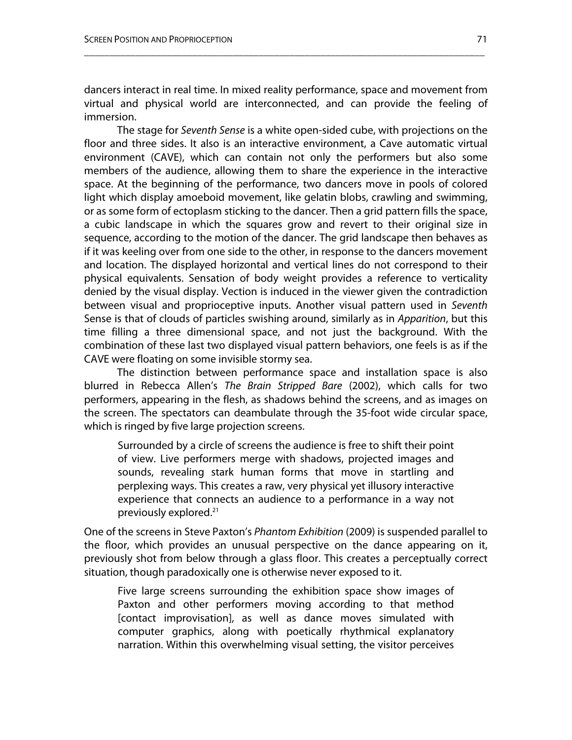dancers interact in real time. In mixed reality performance, space and movement from virtual and physical world are interconnected, and can provide the feeling of immersion.

\_\_\_\_\_\_\_\_\_\_\_\_\_\_\_\_\_\_\_\_\_\_\_\_\_\_\_\_\_\_\_\_\_\_\_\_\_\_\_\_\_\_\_\_\_\_\_\_\_\_\_\_\_\_\_\_\_\_\_\_\_\_\_\_\_\_\_\_\_\_\_\_\_\_\_\_\_\_

The stage for *Seventh Sense* is a white open-sided cube, with projections on the floor and three sides. It also is an interactive environment, a Cave automatic virtual environment (CAVE), which can contain not only the performers but also some members of the audience, allowing them to share the experience in the interactive space. At the beginning of the performance, two dancers move in pools of colored light which display amoeboid movement, like gelatin blobs, crawling and swimming, or as some form of ectoplasm sticking to the dancer. Then a grid pattern fills the space, a cubic landscape in which the squares grow and revert to their original size in sequence, according to the motion of the dancer. The grid landscape then behaves as if it was keeling over from one side to the other, in response to the dancers movement and location. The displayed horizontal and vertical lines do not correspond to their physical equivalents. Sensation of body weight provides a reference to verticality denied by the visual display. Vection is induced in the viewer given the contradiction between visual and proprioceptive inputs. Another visual pattern used in *Seventh*  Sense is that of clouds of particles swishing around, similarly as in *Apparition*, but this time filling a three dimensional space, and not just the background. With the combination of these last two displayed visual pattern behaviors, one feels is as if the CAVE were floating on some invisible stormy sea.

The distinction between performance space and installation space is also blurred in Rebecca Allen's *The Brain Stripped Bare* (2002), which calls for two performers, appearing in the flesh, as shadows behind the screens, and as images on the screen. The spectators can deambulate through the 35-foot wide circular space, which is ringed by five large projection screens.

Surrounded by a circle of screens the audience is free to shift their point of view. Live performers merge with shadows, projected images and sounds, revealing stark human forms that move in startling and perplexing ways. This creates a raw, very physical yet illusory interactive experience that connects an audience to a performance in a way not previously explored. 21

One of the screens in Steve Paxton's *Phantom Exhibition* (2009) is suspended parallel to the floor, which provides an unusual perspective on the dance appearing on it, previously shot from below through a glass floor. This creates a perceptually correct situation, though paradoxically one is otherwise never exposed to it.

Five large screens surrounding the exhibition space show images of Paxton and other performers moving according to that method [contact improvisation], as well as dance moves simulated with computer graphics, along with poetically rhythmical explanatory narration. Within this overwhelming visual setting, the visitor perceives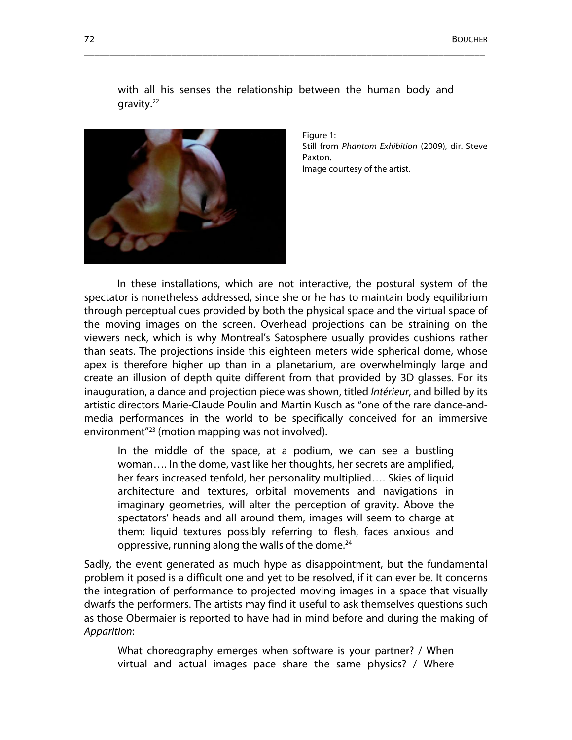

with all his senses the relationship between the human body and gravity.<sup>22</sup>

\_\_\_\_\_\_\_\_\_\_\_\_\_\_\_\_\_\_\_\_\_\_\_\_\_\_\_\_\_\_\_\_\_\_\_\_\_\_\_\_\_\_\_\_\_\_\_\_\_\_\_\_\_\_\_\_\_\_\_\_\_\_\_\_\_\_\_\_\_\_\_\_\_\_\_\_\_\_

Figure 1: Still from *Phantom Exhibition* (2009), dir. Steve Paxton. Image courtesy of the artist.

In these installations, which are not interactive, the postural system of the spectator is nonetheless addressed, since she or he has to maintain body equilibrium through perceptual cues provided by both the physical space and the virtual space of the moving images on the screen. Overhead projections can be straining on the viewers neck, which is why Montreal's Satosphere usually provides cushions rather than seats. The projections inside this eighteen meters wide spherical dome, whose apex is therefore higher up than in a planetarium, are overwhelmingly large and create an illusion of depth quite different from that provided by 3D glasses. For its inauguration, a dance and projection piece was shown, titled *Intérieur*, and billed by its artistic directors Marie-Claude Poulin and Martin Kusch as "one of the rare dance-andmedia performances in the world to be specifically conceived for an immersive environment"23 (motion mapping was not involved).

In the middle of the space, at a podium, we can see a bustling woman…. In the dome, vast like her thoughts, her secrets are amplified, her fears increased tenfold, her personality multiplied…. Skies of liquid architecture and textures, orbital movements and navigations in imaginary geometries, will alter the perception of gravity. Above the spectators' heads and all around them, images will seem to charge at them: liquid textures possibly referring to flesh, faces anxious and oppressive, running along the walls of the dome. 24

Sadly, the event generated as much hype as disappointment, but the fundamental problem it posed is a difficult one and yet to be resolved, if it can ever be. It concerns the integration of performance to projected moving images in a space that visually dwarfs the performers. The artists may find it useful to ask themselves questions such as those Obermaier is reported to have had in mind before and during the making of *Apparition*:

What choreography emerges when software is your partner? / When virtual and actual images pace share the same physics? / Where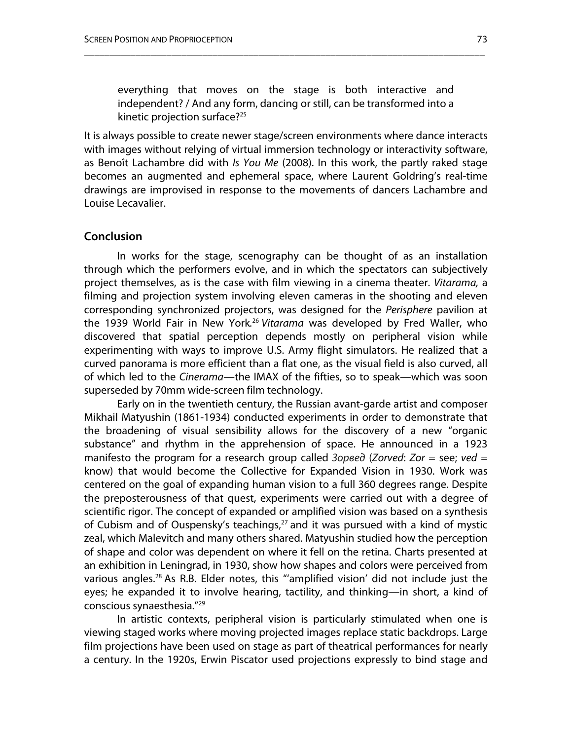everything that moves on the stage is both interactive and independent? / And any form, dancing or still, can be transformed into a kinetic projection surface?<sup>25</sup>

\_\_\_\_\_\_\_\_\_\_\_\_\_\_\_\_\_\_\_\_\_\_\_\_\_\_\_\_\_\_\_\_\_\_\_\_\_\_\_\_\_\_\_\_\_\_\_\_\_\_\_\_\_\_\_\_\_\_\_\_\_\_\_\_\_\_\_\_\_\_\_\_\_\_\_\_\_\_

It is always possible to create newer stage/screen environments where dance interacts with images without relying of virtual immersion technology or interactivity software, as Benoît Lachambre did with *Is You Me* (2008). In this work, the partly raked stage becomes an augmented and ephemeral space, where Laurent Goldring's real-time drawings are improvised in response to the movements of dancers Lachambre and Louise Lecavalier.

### **Conclusion**

In works for the stage, scenography can be thought of as an installation through which the performers evolve, and in which the spectators can subjectively project themselves, as is the case with film viewing in a cinema theater. *Vitarama,* a filming and projection system involving eleven cameras in the shooting and eleven corresponding synchronized projectors, was designed for the *Perisphere* pavilion at the 1939 World Fair in New York*.* <sup>26</sup> *Vitarama* was developed by Fred Waller, who discovered that spatial perception depends mostly on peripheral vision while experimenting with ways to improve U.S. Army flight simulators. He realized that a curved panorama is more efficient than a flat one, as the visual field is also curved, all of which led to the *Cinerama*—the IMAX of the fifties, so to speak—which was soon superseded by 70mm wide-screen film technology.

Early on in the twentieth century, the Russian avant-garde artist and composer Mikhail Matyushin (1861-1934) conducted experiments in order to demonstrate that the broadening of visual sensibility allows for the discovery of a new "organic substance" and rhythm in the apprehension of space. He announced in a 1923 manifesto the program for a research group called Зорвед (*Zorved*: *Zor* = see; *ved* = know) that would become the Collective for Expanded Vision in 1930. Work was centered on the goal of expanding human vision to a full 360 degrees range. Despite the preposterousness of that quest, experiments were carried out with a degree of scientific rigor. The concept of expanded or amplified vision was based on a synthesis of Cubism and of Ouspensky's teachings, 27 and it was pursued with a kind of mystic zeal, which Malevitch and many others shared. Matyushin studied how the perception of shape and color was dependent on where it fell on the retina. Charts presented at an exhibition in Leningrad, in 1930, show how shapes and colors were perceived from various angles. <sup>28</sup> As R.B. Elder notes, this "'amplified vision' did not include just the eyes; he expanded it to involve hearing, tactility, and thinking—in short, a kind of conscious synaesthesia."29

In artistic contexts, peripheral vision is particularly stimulated when one is viewing staged works where moving projected images replace static backdrops. Large film projections have been used on stage as part of theatrical performances for nearly a century. In the 1920s, Erwin Piscator used projections expressly to bind stage and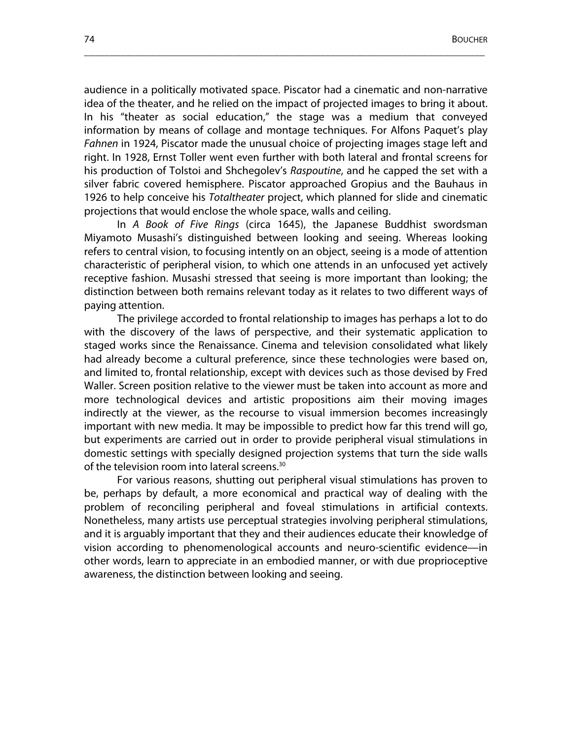audience in a politically motivated space. Piscator had a cinematic and non-narrative idea of the theater, and he relied on the impact of projected images to bring it about. In his "theater as social education," the stage was a medium that conveyed information by means of collage and montage techniques. For Alfons Paquet's play *Fahnen* in 1924, Piscator made the unusual choice of projecting images stage left and right. In 1928, Ernst Toller went even further with both lateral and frontal screens for his production of Tolstoi and Shchegolev's *Raspoutine*, and he capped the set with a silver fabric covered hemisphere. Piscator approached Gropius and the Bauhaus in 1926 to help conceive his *Totaltheater* project, which planned for slide and cinematic projections that would enclose the whole space, walls and ceiling.

\_\_\_\_\_\_\_\_\_\_\_\_\_\_\_\_\_\_\_\_\_\_\_\_\_\_\_\_\_\_\_\_\_\_\_\_\_\_\_\_\_\_\_\_\_\_\_\_\_\_\_\_\_\_\_\_\_\_\_\_\_\_\_\_\_\_\_\_\_\_\_\_\_\_\_\_\_\_

In *A Book of Five Rings* (circa 1645), the Japanese Buddhist swordsman Miyamoto Musashi's distinguished between looking and seeing. Whereas looking refers to central vision, to focusing intently on an object, seeing is a mode of attention characteristic of peripheral vision, to which one attends in an unfocused yet actively receptive fashion. Musashi stressed that seeing is more important than looking; the distinction between both remains relevant today as it relates to two different ways of paying attention.

The privilege accorded to frontal relationship to images has perhaps a lot to do with the discovery of the laws of perspective, and their systematic application to staged works since the Renaissance. Cinema and television consolidated what likely had already become a cultural preference, since these technologies were based on, and limited to, frontal relationship, except with devices such as those devised by Fred Waller. Screen position relative to the viewer must be taken into account as more and more technological devices and artistic propositions aim their moving images indirectly at the viewer, as the recourse to visual immersion becomes increasingly important with new media. It may be impossible to predict how far this trend will go, but experiments are carried out in order to provide peripheral visual stimulations in domestic settings with specially designed projection systems that turn the side walls of the television room into lateral screens. 30

For various reasons, shutting out peripheral visual stimulations has proven to be, perhaps by default, a more economical and practical way of dealing with the problem of reconciling peripheral and foveal stimulations in artificial contexts. Nonetheless, many artists use perceptual strategies involving peripheral stimulations, and it is arguably important that they and their audiences educate their knowledge of vision according to phenomenological accounts and neuro-scientific evidence—in other words, learn to appreciate in an embodied manner, or with due proprioceptive awareness, the distinction between looking and seeing.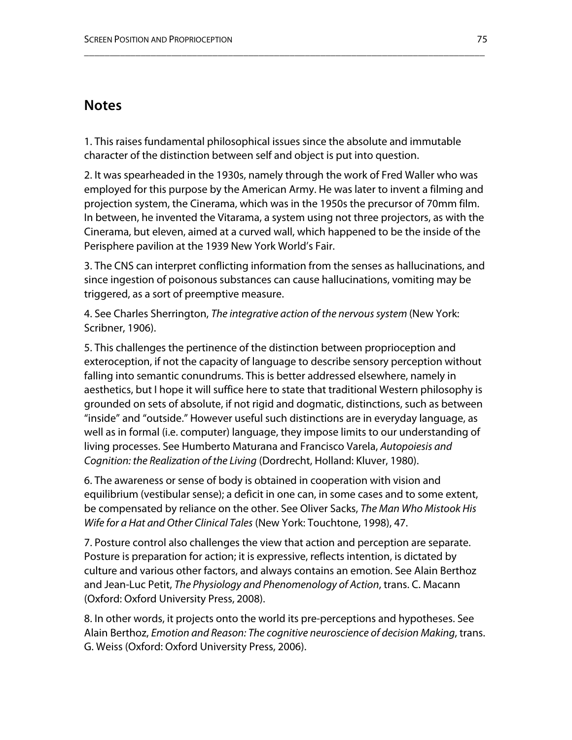## **Notes**

1. This raises fundamental philosophical issues since the absolute and immutable character of the distinction between self and object is put into question.

\_\_\_\_\_\_\_\_\_\_\_\_\_\_\_\_\_\_\_\_\_\_\_\_\_\_\_\_\_\_\_\_\_\_\_\_\_\_\_\_\_\_\_\_\_\_\_\_\_\_\_\_\_\_\_\_\_\_\_\_\_\_\_\_\_\_\_\_\_\_\_\_\_\_\_\_\_\_

2. It was spearheaded in the 1930s, namely through the work of Fred Waller who was employed for this purpose by the American Army. He was later to invent a filming and projection system, the Cinerama, which was in the 1950s the precursor of 70mm film. In between, he invented the Vitarama, a system using not three projectors, as with the Cinerama, but eleven, aimed at a curved wall, which happened to be the inside of the Perisphere pavilion at the 1939 New York World's Fair.

3. The CNS can interpret conflicting information from the senses as hallucinations, and since ingestion of poisonous substances can cause hallucinations, vomiting may be triggered, as a sort of preemptive measure.

4. See Charles Sherrington, *The integrative action of the nervous system* (New York: Scribner, 1906).

5. This challenges the pertinence of the distinction between proprioception and exteroception, if not the capacity of language to describe sensory perception without falling into semantic conundrums. This is better addressed elsewhere, namely in aesthetics, but I hope it will suffice here to state that traditional Western philosophy is grounded on sets of absolute, if not rigid and dogmatic, distinctions, such as between "inside" and "outside." However useful such distinctions are in everyday language, as well as in formal (i.e. computer) language, they impose limits to our understanding of living processes. See Humberto Maturana and Francisco Varela, *Autopoiesis and Cognition: the Realization of the Living* (Dordrecht, Holland: Kluver, 1980).

6. The awareness or sense of body is obtained in cooperation with vision and equilibrium (vestibular sense); a deficit in one can, in some cases and to some extent, be compensated by reliance on the other. See Oliver Sacks, *The Man Who Mistook His Wife for a Hat and Other Clinical Tales* (New York: Touchtone, 1998), 47.

7. Posture control also challenges the view that action and perception are separate. Posture is preparation for action; it is expressive, reflects intention, is dictated by culture and various other factors, and always contains an emotion. See Alain Berthoz and Jean-Luc Petit, *The Physiology and Phenomenology of Action*, trans. C. Macann (Oxford: Oxford University Press, 2008).

8. In other words, it projects onto the world its pre-perceptions and hypotheses. See Alain Berthoz, *Emotion and Reason: The cognitive neuroscience of decision Making*, trans. G. Weiss (Oxford: Oxford University Press, 2006).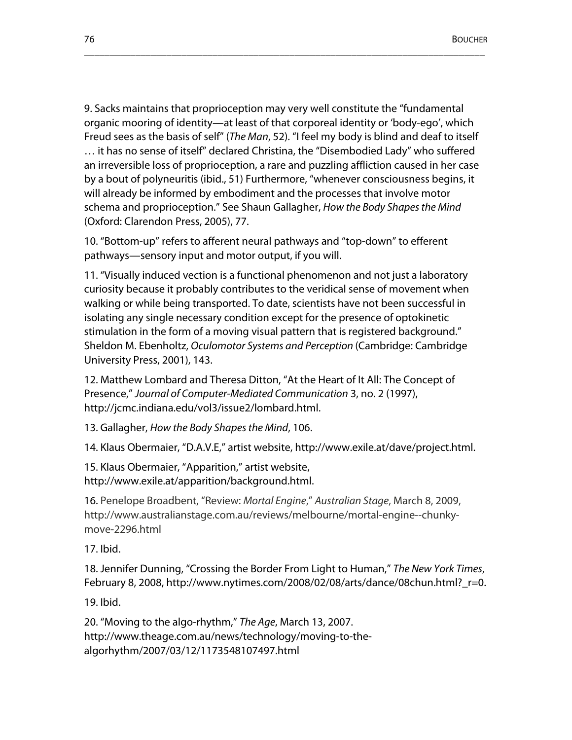9. Sacks maintains that proprioception may very well constitute the "fundamental organic mooring of identity—at least of that corporeal identity or 'body-ego', which Freud sees as the basis of self" (*The Man*, 52). "I feel my body is blind and deaf to itself … it has no sense of itself" declared Christina, the "Disembodied Lady" who suffered an irreversible loss of proprioception, a rare and puzzling affliction caused in her case by a bout of polyneuritis (ibid., 51) Furthermore, "whenever consciousness begins, it will already be informed by embodiment and the processes that involve motor schema and proprioception." See Shaun Gallagher, *How the Body Shapes the Mind*  (Oxford: Clarendon Press, 2005), 77.

\_\_\_\_\_\_\_\_\_\_\_\_\_\_\_\_\_\_\_\_\_\_\_\_\_\_\_\_\_\_\_\_\_\_\_\_\_\_\_\_\_\_\_\_\_\_\_\_\_\_\_\_\_\_\_\_\_\_\_\_\_\_\_\_\_\_\_\_\_\_\_\_\_\_\_\_\_\_

10. "Bottom-up" refers to afferent neural pathways and "top-down" to efferent pathways—sensory input and motor output, if you will.

11. "Visually induced vection is a functional phenomenon and not just a laboratory curiosity because it probably contributes to the veridical sense of movement when walking or while being transported. To date, scientists have not been successful in isolating any single necessary condition except for the presence of optokinetic stimulation in the form of a moving visual pattern that is registered background." Sheldon M. Ebenholtz, *Oculomotor Systems and Perception* (Cambridge: Cambridge University Press, 2001), 143.

12. Matthew Lombard and Theresa Ditton, "At the Heart of It All: The Concept of Presence," *Journal of Computer-Mediated Communication* 3, no. 2 (1997), http://jcmc.indiana.edu/vol3/issue2/lombard.html.

13. Gallagher, *How the Body Shapes the Mind*, 106.

14. Klaus Obermaier, "D.A.V.E," artist website, http://www.exile.at/dave/project.html.

15. Klaus Obermaier, "Apparition," artist website, http://www.exile.at/apparition/background.html.

16. Penelope Broadbent, "Review: *Mortal Engine*," *Australian Stage*, March 8, 2009, http://www.australianstage.com.au/reviews/melbourne/mortal-engine--chunkymove-2296.html

17. Ibid.

18. Jennifer Dunning, "Crossing the Border From Light to Human," *The New York Times*, February 8, 2008, http://www.nytimes.com/2008/02/08/arts/dance/08chun.html?\_r=0.

19. Ibid.

20. "Moving to the algo-rhythm," *The Age*, March 13, 2007. http://www.theage.com.au/news/technology/moving-to-thealgorhythm/2007/03/12/1173548107497.html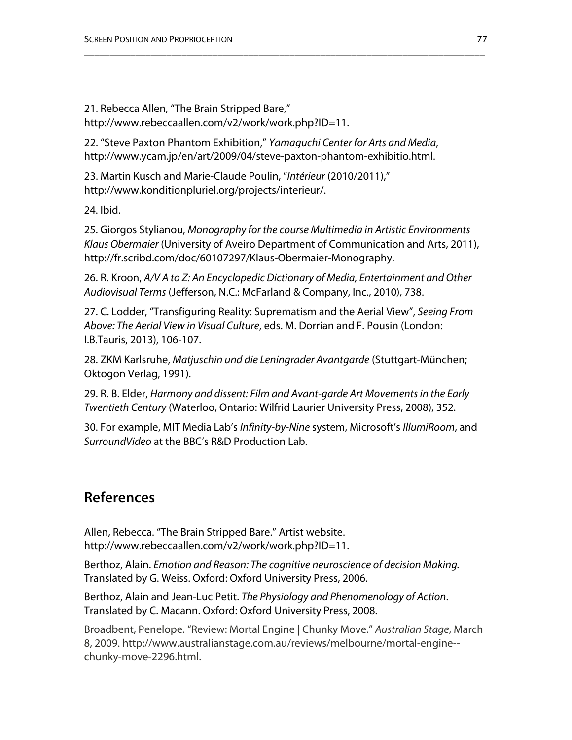21. Rebecca Allen, "The Brain Stripped Bare," http://www.rebeccaallen.com/v2/work/work.php?ID=11.

22. "Steve Paxton Phantom Exhibition," *Yamaguchi Center for Arts and Media*, http://www.ycam.jp/en/art/2009/04/steve-paxton-phantom-exhibitio.html.

23. Martin Kusch and Marie-Claude Poulin, "*Intérieur* (2010/2011)," http://www.konditionpluriel.org/projects/interieur/.

24. Ibid.

25. Giorgos Stylianou, *Monography for the course Multimedia in Artistic Environments Klaus Obermaier* (University of Aveiro Department of Communication and Arts, 2011), http://fr.scribd.com/doc/60107297/Klaus-Obermaier-Monography.

\_\_\_\_\_\_\_\_\_\_\_\_\_\_\_\_\_\_\_\_\_\_\_\_\_\_\_\_\_\_\_\_\_\_\_\_\_\_\_\_\_\_\_\_\_\_\_\_\_\_\_\_\_\_\_\_\_\_\_\_\_\_\_\_\_\_\_\_\_\_\_\_\_\_\_\_\_\_

26. R. Kroon, *A/V A to Z: An Encyclopedic Dictionary of Media, Entertainment and Other Audiovisual Terms* (Jefferson, N.C.: McFarland & Company, Inc., 2010), 738.

27. C. Lodder, "Transfiguring Reality: Suprematism and the Aerial View", *Seeing From Above: The Aerial View in Visual Culture*, eds. M. Dorrian and F. Pousin (London: I.B.Tauris, 2013), 106-107.

28. ZKM Karlsruhe, *Matjuschin und die Leningrader Avantgarde* (Stuttgart-München; Oktogon Verlag, 1991).

29. R. B. Elder, *Harmony and dissent: Film and Avant-garde Art Movements in the Early Twentieth Century* (Waterloo, Ontario: Wilfrid Laurier University Press, 2008), 352.

30. For example, MIT Media Lab's *Infinity-by-Nine* system, Microsoft's *IllumiRoom*, and *SurroundVideo* at the BBC's R&D Production Lab.

# **References**

Allen, Rebecca. "The Brain Stripped Bare." Artist website. http://www.rebeccaallen.com/v2/work/work.php?ID=11.

Berthoz, Alain. *Emotion and Reason: The cognitive neuroscience of decision Making.* Translated by G. Weiss. Oxford: Oxford University Press, 2006.

Berthoz, Alain and Jean-Luc Petit. *The Physiology and Phenomenology of Action*. Translated by C. Macann. Oxford: Oxford University Press, 2008.

Broadbent, Penelope. "Review: Mortal Engine | Chunky Move." *Australian Stage*, March 8, 2009. http://www.australianstage.com.au/reviews/melbourne/mortal-engine- chunky-move-2296.html.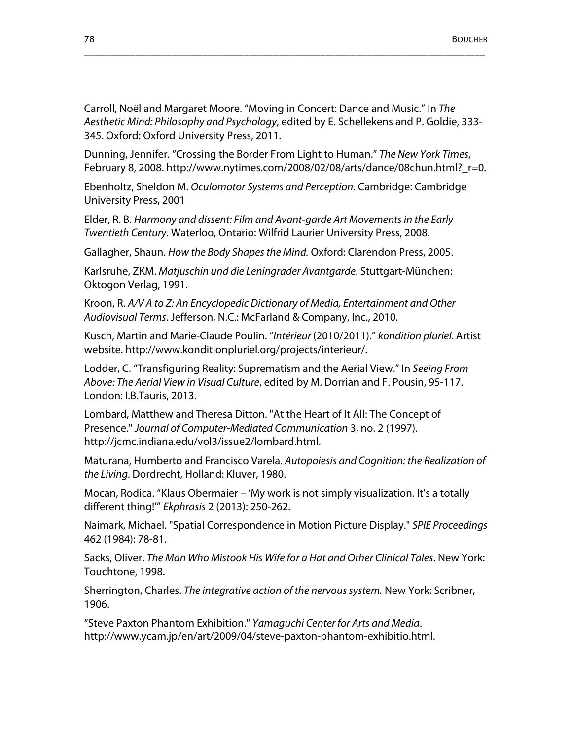Carroll, Noël and Margaret Moore. "Moving in Concert: Dance and Music." In *The Aesthetic Mind: Philosophy and Psychology*, edited by E. Schellekens and P. Goldie, 333- 345. Oxford: Oxford University Press, 2011.

\_\_\_\_\_\_\_\_\_\_\_\_\_\_\_\_\_\_\_\_\_\_\_\_\_\_\_\_\_\_\_\_\_\_\_\_\_\_\_\_\_\_\_\_\_\_\_\_\_\_\_\_\_\_\_\_\_\_\_\_\_\_\_\_\_\_\_\_\_\_\_\_\_\_\_\_\_\_

Dunning, Jennifer. "Crossing the Border From Light to Human." *The New York Times*, February 8, 2008. http://www.nytimes.com/2008/02/08/arts/dance/08chun.html?\_r=0.

Ebenholtz, Sheldon M. *Oculomotor Systems and Perception.* Cambridge: Cambridge University Press, 2001

Elder, R. B. *Harmony and dissent: Film and Avant-garde Art Movements in the Early Twentieth Century*. Waterloo, Ontario: Wilfrid Laurier University Press, 2008.

Gallagher, Shaun. *How the Body Shapes the Mind.* Oxford: Clarendon Press, 2005.

Karlsruhe, ZKM. *Matjuschin und die Leningrader Avantgarde*. Stuttgart-München: Oktogon Verlag, 1991.

Kroon, R. *A/V A to Z: An Encyclopedic Dictionary of Media, Entertainment and Other Audiovisual Terms*. Jefferson, N.C.: McFarland & Company, Inc., 2010.

Kusch, Martin and Marie-Claude Poulin. "*Intérieur* (2010/2011)." *kondition pluriel.* Artist website. http://www.konditionpluriel.org/projects/interieur/.

Lodder, C. "Transfiguring Reality: Suprematism and the Aerial View." In *Seeing From Above: The Aerial View in Visual Culture*, edited by M. Dorrian and F. Pousin, 95-117. London: I.B.Tauris, 2013.

Lombard, Matthew and Theresa Ditton. "At the Heart of It All: The Concept of Presence." *Journal of Computer-Mediated Communication* 3, no. 2 (1997). http://jcmc.indiana.edu/vol3/issue2/lombard.html.

Maturana, Humberto and Francisco Varela. *Autopoiesis and Cognition: the Realization of the Living*. Dordrecht, Holland: Kluver, 1980.

Mocan, Rodica. "Klaus Obermaier – 'My work is not simply visualization. It's a totally different thing!'" *Ekphrasis* 2 (2013): 250-262.

Naimark, Michael. "Spatial Correspondence in Motion Picture Display." *SPIE Proceedings*  462 (1984): 78-81.

Sacks, Oliver. *The Man Who Mistook His Wife for a Hat and Other Clinical Tales*. New York: Touchtone, 1998.

Sherrington, Charles. *The integrative action of the nervous system.* New York: Scribner, 1906.

"Steve Paxton Phantom Exhibition." *Yamaguchi Center for Arts and Media*. http://www.ycam.jp/en/art/2009/04/steve-paxton-phantom-exhibitio.html.